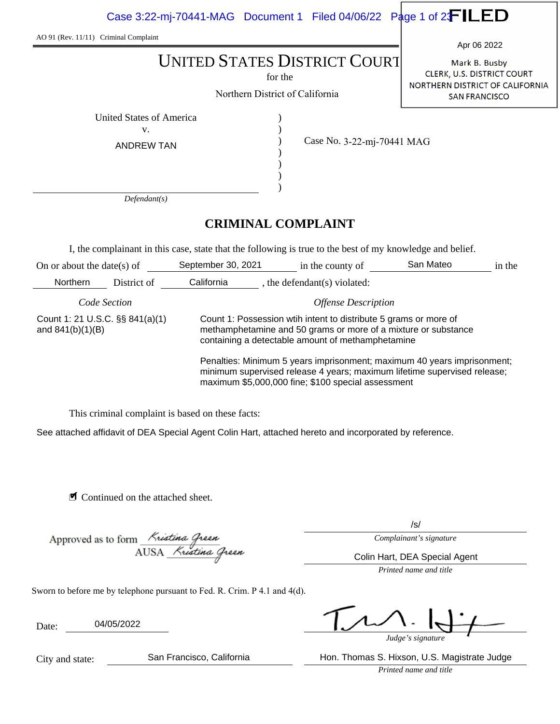Case 3:22-mj-70441-MAG Document 1 Filed 04/06/22 Page 1 of 2 $\textcolor{red}{\mathbf{F}}$  LED

AO 91 (Rev. 11/11) Criminal Complaint

for the

Northern District of California

) ) ) ) ) ) Mark B. Busby Apr 06 2022

CLERK, U.S. DISTRICT COURT NORTHERN DISTRICT OF CALIFORNIA SAN FRANCISCO

United States of America (1992) v.

ANDREW TAN

Case No. 3-22-mj-70441 MAG

*Defendant(s)*

# **CRIMINAL COMPLAINT**

I, the complainant in this case, state that the following is true to the best of my knowledge and belief.

| On or about the date(s) of                            |             | September 30, 2021                                                                                                                                                                                        | in the county of           | San Mateo | in the |  |
|-------------------------------------------------------|-------------|-----------------------------------------------------------------------------------------------------------------------------------------------------------------------------------------------------------|----------------------------|-----------|--------|--|
| <b>Northern</b>                                       | District of | California                                                                                                                                                                                                | the defendant(s) violated: |           |        |  |
| Code Section                                          |             | <b>Offense Description</b>                                                                                                                                                                                |                            |           |        |  |
| Count 1: 21 U.S.C. §§ 841(a)(1)<br>and $841(b)(1)(B)$ |             | Count 1: Possession with intent to distribute 5 grams or more of<br>methamphetamine and 50 grams or more of a mixture or substance<br>containing a detectable amount of methamphetamine                   |                            |           |        |  |
|                                                       |             | Penalties: Minimum 5 years imprisonment; maximum 40 years imprisonment;<br>minimum supervised release 4 years; maximum lifetime supervised release;<br>maximum \$5,000,000 fine; \$100 special assessment |                            |           |        |  |

This criminal complaint is based on these facts:

See attached affidavit of DEA Special Agent Colin Hart, attached hereto and incorporated by reference.

■ Continued on the attached sheet.

Approved as to form Kristina Green<br>AUSA Kristina Green

/s/

*Complainant's signature*

Colin Hart, DEA Special Agent

*Printed name and title*

Sworn to before me by telephone pursuant to Fed. R. Crim. P 4.1 and 4(d).

Date: 04/05/2022

*Judge's signature*

*Printed name and title* San Francisco, California **Hon. Thomas S. Hixson, U.S. Magistrate Judge** 

City and state: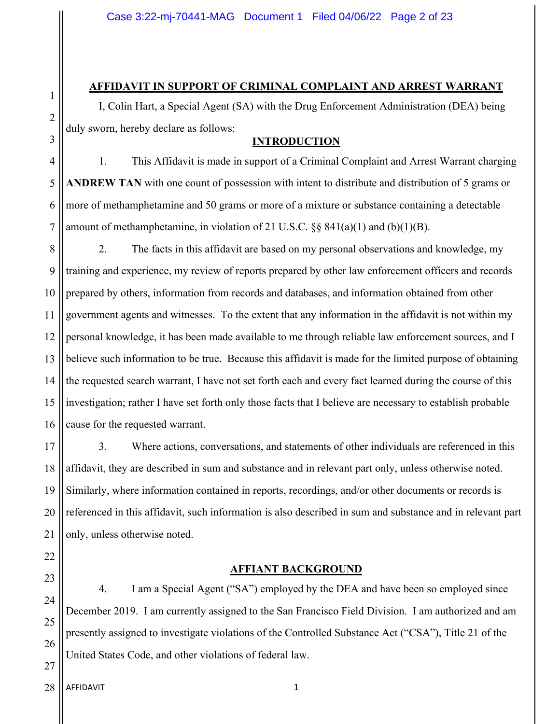### **AFFIDAVIT IN SUPPORT OF CRIMINAL COMPLAINT AND ARREST WARRANT**

I, Colin Hart, a Special Agent (SA) with the Drug Enforcement Administration (DEA) being duly sworn, hereby declare as follows:

# **INTRODUCTION**

4 5 6 7 1. This Affidavit is made in support of a Criminal Complaint and Arrest Warrant charging **ANDREW TAN** with one count of possession with intent to distribute and distribution of 5 grams or more of methamphetamine and 50 grams or more of a mixture or substance containing a detectable amount of methamphetamine, in violation of 21 U.S.C.  $\&$  841(a)(1) and (b)(1)(B).

8 9 10 11 12 13 14 15 16 2. The facts in this affidavit are based on my personal observations and knowledge, my training and experience, my review of reports prepared by other law enforcement officers and records prepared by others, information from records and databases, and information obtained from other government agents and witnesses. To the extent that any information in the affidavit is not within my personal knowledge, it has been made available to me through reliable law enforcement sources, and I believe such information to be true. Because this affidavit is made for the limited purpose of obtaining the requested search warrant, I have not set forth each and every fact learned during the course of this investigation; rather I have set forth only those facts that I believe are necessary to establish probable cause for the requested warrant.

17 18 19 20 21 3. Where actions, conversations, and statements of other individuals are referenced in this affidavit, they are described in sum and substance and in relevant part only, unless otherwise noted. Similarly, where information contained in reports, recordings, and/or other documents or records is referenced in this affidavit, such information is also described in sum and substance and in relevant part only, unless otherwise noted.

#### **AFFIANT BACKGROUND**

4. I am a Special Agent ("SA") employed by the DEA and have been so employed since December 2019. I am currently assigned to the San Francisco Field Division. I am authorized and am presently assigned to investigate violations of the Controlled Substance Act ("CSA"), Title 21 of the United States Code, and other violations of federal law.

AFFIDAVIT 1 28

22

23

24

25

26

27

1

2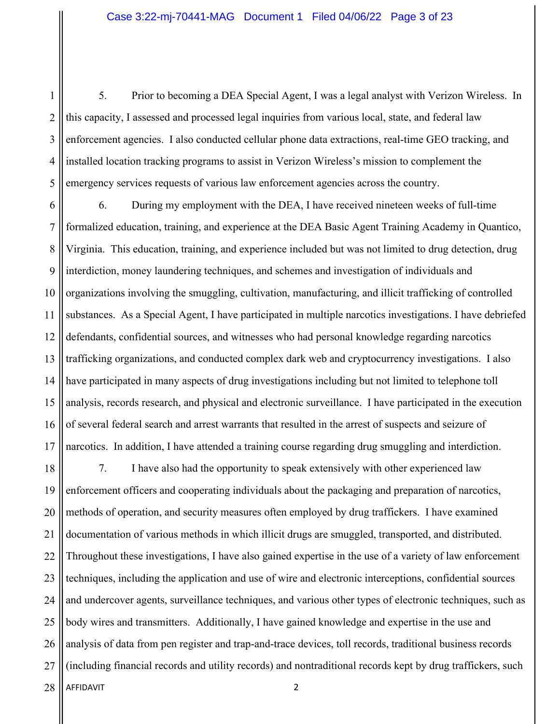1 2 3 4 5 5. Prior to becoming a DEA Special Agent, I was a legal analyst with Verizon Wireless. In this capacity, I assessed and processed legal inquiries from various local, state, and federal law enforcement agencies. I also conducted cellular phone data extractions, real-time GEO tracking, and installed location tracking programs to assist in Verizon Wireless's mission to complement the emergency services requests of various law enforcement agencies across the country.

6 7 8 9 10 11 12 13 14 15 16 17 6. During my employment with the DEA, I have received nineteen weeks of full-time formalized education, training, and experience at the DEA Basic Agent Training Academy in Quantico, Virginia. This education, training, and experience included but was not limited to drug detection, drug interdiction, money laundering techniques, and schemes and investigation of individuals and organizations involving the smuggling, cultivation, manufacturing, and illicit trafficking of controlled substances. As a Special Agent, I have participated in multiple narcotics investigations. I have debriefed defendants, confidential sources, and witnesses who had personal knowledge regarding narcotics trafficking organizations, and conducted complex dark web and cryptocurrency investigations. I also have participated in many aspects of drug investigations including but not limited to telephone toll analysis, records research, and physical and electronic surveillance. I have participated in the execution of several federal search and arrest warrants that resulted in the arrest of suspects and seizure of narcotics. In addition, I have attended a training course regarding drug smuggling and interdiction.

AFFIDAVIT 2 18 19 20 21 22 23 24 25 26 27 28 7. I have also had the opportunity to speak extensively with other experienced law enforcement officers and cooperating individuals about the packaging and preparation of narcotics, methods of operation, and security measures often employed by drug traffickers. I have examined documentation of various methods in which illicit drugs are smuggled, transported, and distributed. Throughout these investigations, I have also gained expertise in the use of a variety of law enforcement techniques, including the application and use of wire and electronic interceptions, confidential sources and undercover agents, surveillance techniques, and various other types of electronic techniques, such as body wires and transmitters. Additionally, I have gained knowledge and expertise in the use and analysis of data from pen register and trap-and-trace devices, toll records, traditional business records (including financial records and utility records) and nontraditional records kept by drug traffickers, such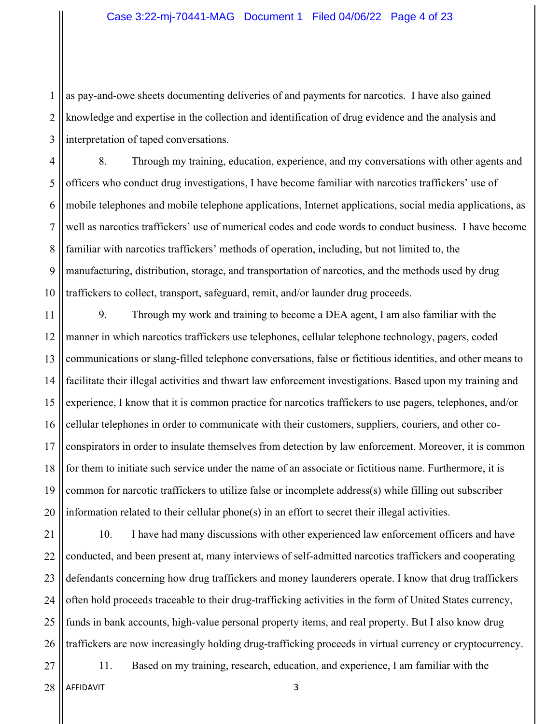1 2 3 as pay-and-owe sheets documenting deliveries of and payments for narcotics. I have also gained knowledge and expertise in the collection and identification of drug evidence and the analysis and interpretation of taped conversations.

4 5 6 7 8 9 10 8. Through my training, education, experience, and my conversations with other agents and officers who conduct drug investigations, I have become familiar with narcotics traffickers' use of mobile telephones and mobile telephone applications, Internet applications, social media applications, as well as narcotics traffickers' use of numerical codes and code words to conduct business. I have become familiar with narcotics traffickers' methods of operation, including, but not limited to, the manufacturing, distribution, storage, and transportation of narcotics, and the methods used by drug traffickers to collect, transport, safeguard, remit, and/or launder drug proceeds.

11 12 13 14 15 16 17 18 19 20 9. Through my work and training to become a DEA agent, I am also familiar with the manner in which narcotics traffickers use telephones, cellular telephone technology, pagers, coded communications or slang-filled telephone conversations, false or fictitious identities, and other means to facilitate their illegal activities and thwart law enforcement investigations. Based upon my training and experience, I know that it is common practice for narcotics traffickers to use pagers, telephones, and/or cellular telephones in order to communicate with their customers, suppliers, couriers, and other coconspirators in order to insulate themselves from detection by law enforcement. Moreover, it is common for them to initiate such service under the name of an associate or fictitious name. Furthermore, it is common for narcotic traffickers to utilize false or incomplete address(s) while filling out subscriber information related to their cellular phone(s) in an effort to secret their illegal activities.

21 22 23 24 25 26 10. I have had many discussions with other experienced law enforcement officers and have conducted, and been present at, many interviews of self-admitted narcotics traffickers and cooperating defendants concerning how drug traffickers and money launderers operate. I know that drug traffickers often hold proceeds traceable to their drug-trafficking activities in the form of United States currency, funds in bank accounts, high-value personal property items, and real property. But I also know drug traffickers are now increasingly holding drug-trafficking proceeds in virtual currency or cryptocurrency.

11. Based on my training, research, education, and experience, I am familiar with the

AFFIDAVIT 3 28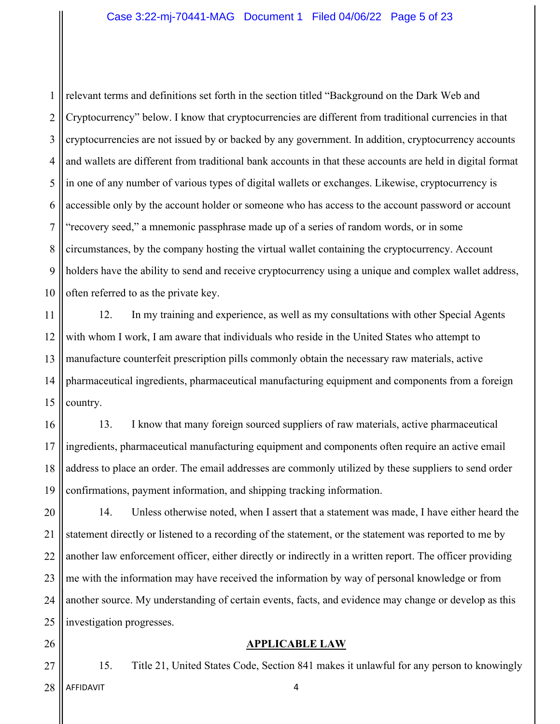1 2 3 4 5 6 7 8 9 10 relevant terms and definitions set forth in the section titled "Background on the Dark Web and Cryptocurrency" below. I know that cryptocurrencies are different from traditional currencies in that cryptocurrencies are not issued by or backed by any government. In addition, cryptocurrency accounts and wallets are different from traditional bank accounts in that these accounts are held in digital format in one of any number of various types of digital wallets or exchanges. Likewise, cryptocurrency is accessible only by the account holder or someone who has access to the account password or account "recovery seed," a mnemonic passphrase made up of a series of random words, or in some circumstances, by the company hosting the virtual wallet containing the cryptocurrency. Account holders have the ability to send and receive cryptocurrency using a unique and complex wallet address, often referred to as the private key.

11 12 13 14 15 12. In my training and experience, as well as my consultations with other Special Agents with whom I work, I am aware that individuals who reside in the United States who attempt to manufacture counterfeit prescription pills commonly obtain the necessary raw materials, active pharmaceutical ingredients, pharmaceutical manufacturing equipment and components from a foreign country.

16 17 18 19 13. I know that many foreign sourced suppliers of raw materials, active pharmaceutical ingredients, pharmaceutical manufacturing equipment and components often require an active email address to place an order. The email addresses are commonly utilized by these suppliers to send order confirmations, payment information, and shipping tracking information.

20 21 22 23 24 25 14. Unless otherwise noted, when I assert that a statement was made, I have either heard the statement directly or listened to a recording of the statement, or the statement was reported to me by another law enforcement officer, either directly or indirectly in a written report. The officer providing me with the information may have received the information by way of personal knowledge or from another source. My understanding of certain events, facts, and evidence may change or develop as this investigation progresses.

**APPLICABLE LAW**

26

27

15. Title 21, United States Code, Section 841 makes it unlawful for any person to knowingly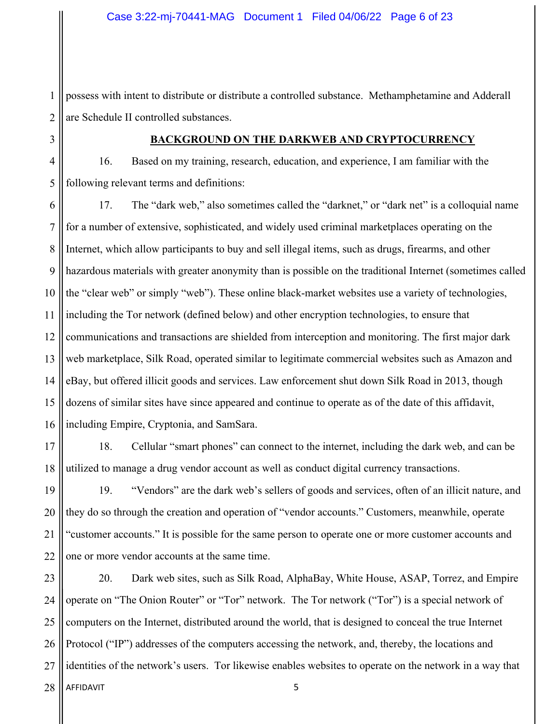1 2 possess with intent to distribute or distribute a controlled substance. Methamphetamine and Adderall are Schedule II controlled substances.

3

4

5

### **BACKGROUND ON THE DARKWEB AND CRYPTOCURRENCY**

16. Based on my training, research, education, and experience, I am familiar with the following relevant terms and definitions:

6 7 8 9 10 11 12 13 14 15 16 17. The "dark web," also sometimes called the "darknet," or "dark net" is a colloquial name for a number of extensive, sophisticated, and widely used criminal marketplaces operating on the Internet, which allow participants to buy and sell illegal items, such as drugs, firearms, and other hazardous materials with greater anonymity than is possible on the traditional Internet (sometimes called the "clear web" or simply "web"). These online black-market websites use a variety of technologies, including the Tor network (defined below) and other encryption technologies, to ensure that communications and transactions are shielded from interception and monitoring. The first major dark web marketplace, Silk Road, operated similar to legitimate commercial websites such as Amazon and eBay, but offered illicit goods and services. Law enforcement shut down Silk Road in 2013, though dozens of similar sites have since appeared and continue to operate as of the date of this affidavit, including Empire, Cryptonia, and SamSara.

17 18 18. Cellular "smart phones" can connect to the internet, including the dark web, and can be utilized to manage a drug vendor account as well as conduct digital currency transactions.

19 20 21 22 19. "Vendors" are the dark web's sellers of goods and services, often of an illicit nature, and they do so through the creation and operation of "vendor accounts." Customers, meanwhile, operate "customer accounts." It is possible for the same person to operate one or more customer accounts and one or more vendor accounts at the same time.

AFFIDAVIT 5 23 24 25 26 27 28 20. Dark web sites, such as Silk Road, AlphaBay, White House, ASAP, Torrez, and Empire operate on "The Onion Router" or "Tor" network. The Tor network ("Tor") is a special network of computers on the Internet, distributed around the world, that is designed to conceal the true Internet Protocol ("IP") addresses of the computers accessing the network, and, thereby, the locations and identities of the network's users. Tor likewise enables websites to operate on the network in a way that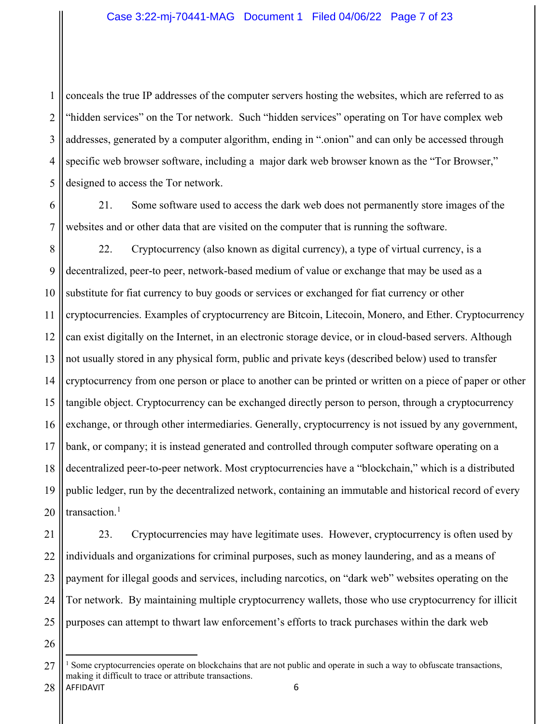1 2 3 4 5 conceals the true IP addresses of the computer servers hosting the websites, which are referred to as "hidden services" on the Tor network. Such "hidden services" operating on Tor have complex web addresses, generated by a computer algorithm, ending in ".onion" and can only be accessed through specific web browser software, including a major dark web browser known as the "Tor Browser," designed to access the Tor network.

6 7 21. Some software used to access the dark web does not permanently store images of the websites and or other data that are visited on the computer that is running the software.

8 9 10 11 12 13 14 15 16 17 18 19 20 22. Cryptocurrency (also known as digital currency), a type of virtual currency, is a decentralized, peer-to peer, network-based medium of value or exchange that may be used as a substitute for fiat currency to buy goods or services or exchanged for fiat currency or other cryptocurrencies. Examples of cryptocurrency are Bitcoin, Litecoin, Monero, and Ether. Cryptocurrency can exist digitally on the Internet, in an electronic storage device, or in cloud-based servers. Although not usually stored in any physical form, public and private keys (described below) used to transfer cryptocurrency from one person or place to another can be printed or written on a piece of paper or other tangible object. Cryptocurrency can be exchanged directly person to person, through a cryptocurrency exchange, or through other intermediaries. Generally, cryptocurrency is not issued by any government, bank, or company; it is instead generated and controlled through computer software operating on a decentralized peer-to-peer network. Most cryptocurrencies have a "blockchain," which is a distributed public ledger, run by the decentralized network, containing an immutable and historical record of every transaction.<sup>1</sup>

21 22 23 24 25 23. Cryptocurrencies may have legitimate uses. However, cryptocurrency is often used by individuals and organizations for criminal purposes, such as money laundering, and as a means of payment for illegal goods and services, including narcotics, on "dark web" websites operating on the Tor network. By maintaining multiple cryptocurrency wallets, those who use cryptocurrency for illicit purposes can attempt to thwart law enforcement's efforts to track purchases within the dark web

AFFIDAVIT 6 27 28 <sup>1</sup> Some cryptocurrencies operate on blockchains that are not public and operate in such a way to obfuscate transactions, making it difficult to trace or attribute transactions.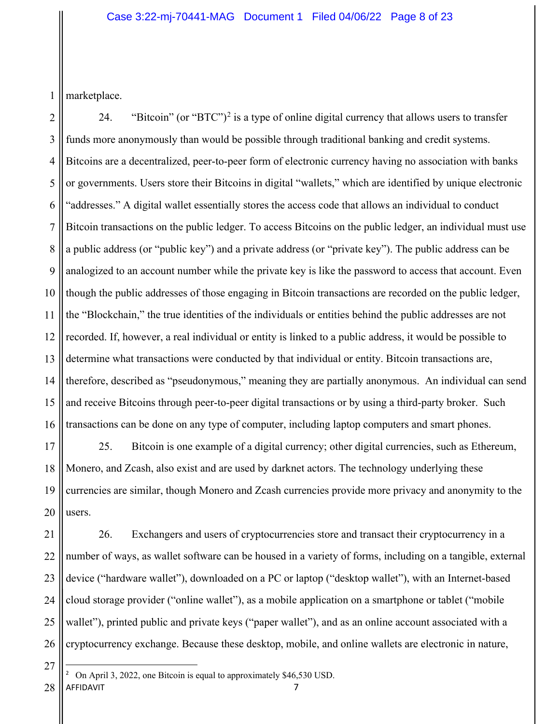1 marketplace.

2 3 4 5 6 7 8 9 10 11 12 13 14 15 16 24. "Bitcoin" (or "BTC")<sup>2</sup> is a type of online digital currency that allows users to transfer funds more anonymously than would be possible through traditional banking and credit systems. Bitcoins are a decentralized, peer-to-peer form of electronic currency having no association with banks or governments. Users store their Bitcoins in digital "wallets," which are identified by unique electronic "addresses." A digital wallet essentially stores the access code that allows an individual to conduct Bitcoin transactions on the public ledger. To access Bitcoins on the public ledger, an individual must use a public address (or "public key") and a private address (or "private key"). The public address can be analogized to an account number while the private key is like the password to access that account. Even though the public addresses of those engaging in Bitcoin transactions are recorded on the public ledger, the "Blockchain," the true identities of the individuals or entities behind the public addresses are not recorded. If, however, a real individual or entity is linked to a public address, it would be possible to determine what transactions were conducted by that individual or entity. Bitcoin transactions are, therefore, described as "pseudonymous," meaning they are partially anonymous. An individual can send and receive Bitcoins through peer-to-peer digital transactions or by using a third-party broker. Such transactions can be done on any type of computer, including laptop computers and smart phones.

17 18 19 20 25. Bitcoin is one example of a digital currency; other digital currencies, such as Ethereum, Monero, and Zcash, also exist and are used by darknet actors. The technology underlying these currencies are similar, though Monero and Zcash currencies provide more privacy and anonymity to the users.

21 22 23 24 25 26 26. Exchangers and users of cryptocurrencies store and transact their cryptocurrency in a number of ways, as wallet software can be housed in a variety of forms, including on a tangible, external device ("hardware wallet"), downloaded on a PC or laptop ("desktop wallet"), with an Internet-based cloud storage provider ("online wallet"), as a mobile application on a smartphone or tablet ("mobile wallet"), printed public and private keys ("paper wallet"), and as an online account associated with a cryptocurrency exchange. Because these desktop, mobile, and online wallets are electronic in nature,

AFFIDAVIT 7 28 <sup>2</sup> On April 3, 2022, one Bitcoin is equal to approximately \$46,530 USD.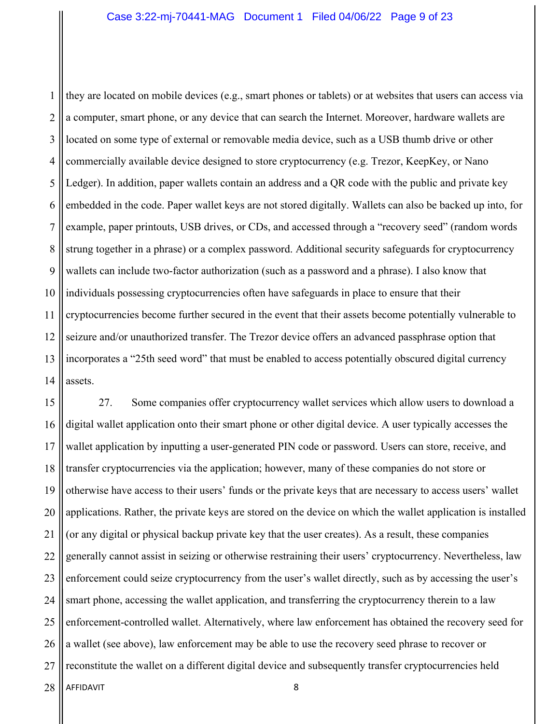1 2 3 4 5 6 7 8 9 10 11 12 13 14 they are located on mobile devices (e.g., smart phones or tablets) or at websites that users can access via a computer, smart phone, or any device that can search the Internet. Moreover, hardware wallets are located on some type of external or removable media device, such as a USB thumb drive or other commercially available device designed to store cryptocurrency (e.g. Trezor, KeepKey, or Nano Ledger). In addition, paper wallets contain an address and a QR code with the public and private key embedded in the code. Paper wallet keys are not stored digitally. Wallets can also be backed up into, for example, paper printouts, USB drives, or CDs, and accessed through a "recovery seed" (random words strung together in a phrase) or a complex password. Additional security safeguards for cryptocurrency wallets can include two-factor authorization (such as a password and a phrase). I also know that individuals possessing cryptocurrencies often have safeguards in place to ensure that their cryptocurrencies become further secured in the event that their assets become potentially vulnerable to seizure and/or unauthorized transfer. The Trezor device offers an advanced passphrase option that incorporates a "25th seed word" that must be enabled to access potentially obscured digital currency assets.

AFFIDAVIT 8 15 16 17 18 19 20 21 22 23 24 25 26 27 28 27. Some companies offer cryptocurrency wallet services which allow users to download a digital wallet application onto their smart phone or other digital device. A user typically accesses the wallet application by inputting a user-generated PIN code or password. Users can store, receive, and transfer cryptocurrencies via the application; however, many of these companies do not store or otherwise have access to their users' funds or the private keys that are necessary to access users' wallet applications. Rather, the private keys are stored on the device on which the wallet application is installed (or any digital or physical backup private key that the user creates). As a result, these companies generally cannot assist in seizing or otherwise restraining their users' cryptocurrency. Nevertheless, law enforcement could seize cryptocurrency from the user's wallet directly, such as by accessing the user's smart phone, accessing the wallet application, and transferring the cryptocurrency therein to a law enforcement-controlled wallet. Alternatively, where law enforcement has obtained the recovery seed for a wallet (see above), law enforcement may be able to use the recovery seed phrase to recover or reconstitute the wallet on a different digital device and subsequently transfer cryptocurrencies held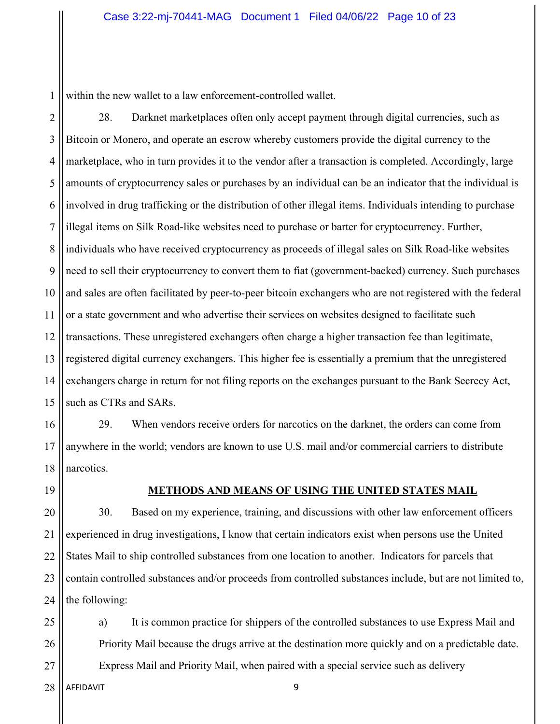1 within the new wallet to a law enforcement-controlled wallet.

2

3 4 5 6 7 8 9 10 11 12 13 14 15 28. Darknet marketplaces often only accept payment through digital currencies, such as Bitcoin or Monero, and operate an escrow whereby customers provide the digital currency to the marketplace, who in turn provides it to the vendor after a transaction is completed. Accordingly, large amounts of cryptocurrency sales or purchases by an individual can be an indicator that the individual is involved in drug trafficking or the distribution of other illegal items. Individuals intending to purchase illegal items on Silk Road-like websites need to purchase or barter for cryptocurrency. Further, individuals who have received cryptocurrency as proceeds of illegal sales on Silk Road-like websites need to sell their cryptocurrency to convert them to fiat (government-backed) currency. Such purchases and sales are often facilitated by peer-to-peer bitcoin exchangers who are not registered with the federal or a state government and who advertise their services on websites designed to facilitate such transactions. These unregistered exchangers often charge a higher transaction fee than legitimate, registered digital currency exchangers. This higher fee is essentially a premium that the unregistered exchangers charge in return for not filing reports on the exchanges pursuant to the Bank Secrecy Act, such as CTRs and SARs.

16 17 18 29. When vendors receive orders for narcotics on the darknet, the orders can come from anywhere in the world; vendors are known to use U.S. mail and/or commercial carriers to distribute narcotics.

19

#### **METHODS AND MEANS OF USING THE UNITED STATES MAIL**

20 21 22 23 24 30. Based on my experience, training, and discussions with other law enforcement officers experienced in drug investigations, I know that certain indicators exist when persons use the United States Mail to ship controlled substances from one location to another. Indicators for parcels that contain controlled substances and/or proceeds from controlled substances include, but are not limited to, the following:

a) It is common practice for shippers of the controlled substances to use Express Mail and Priority Mail because the drugs arrive at the destination more quickly and on a predictable date. Express Mail and Priority Mail, when paired with a special service such as delivery

AFFIDAVIT 9 28

25

26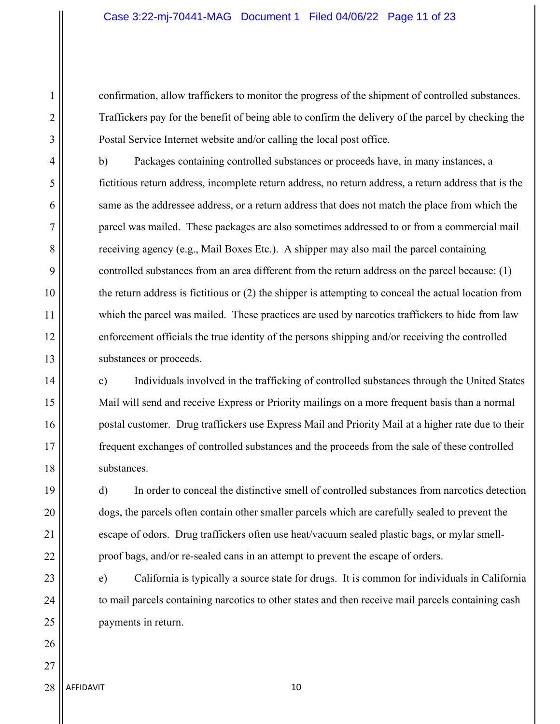confirmation, allow traffickers to monitor the progress of the shipment of controlled substances. Traffickers pay for the benefit of being able to confirm the delivery of the parcel by checking the Postal Service Internet website and/or calling the local post office.

b) Packages containing controlled substances or proceeds have, in many instances, a fictitious return address, incomplete return address, no return address, a return address that is the same as the addressee address, or a return address that does not match the place from which the parcel was mailed. These packages are also sometimes addressed to or from a commercial mail receiving agency (e.g., Mail Boxes Etc.). A shipper may also mail the parcel containing controlled substances from an area different from the return address on the parcel because: (1) the return address is fictitious or (2) the shipper is attempting to conceal the actual location from which the parcel was mailed. These practices are used by narcotics traffickers to hide from law enforcement officials the true identity of the persons shipping and/or receiving the controlled substances or proceeds.

c) Individuals involved in the trafficking of controlled substances through the United States Mail will send and receive Express or Priority mailings on a more frequent basis than a normal postal customer. Drug traffickers use Express Mail and Priority Mail at a higher rate due to their frequent exchanges of controlled substances and the proceeds from the sale of these controlled substances.

d) In order to conceal the distinctive smell of controlled substances from narcotics detection dogs, the parcels often contain other smaller parcels which are carefully sealed to prevent the escape of odors. Drug traffickers often use heat/vacuum sealed plastic bags, or mylar smellproof bags, and/or re-sealed cans in an attempt to prevent the escape of orders.

e) California is typically a source state for drugs. It is common for individuals in California to mail parcels containing narcotics to other states and then receive mail parcels containing cash payments in return.

AFFIDAVIT 10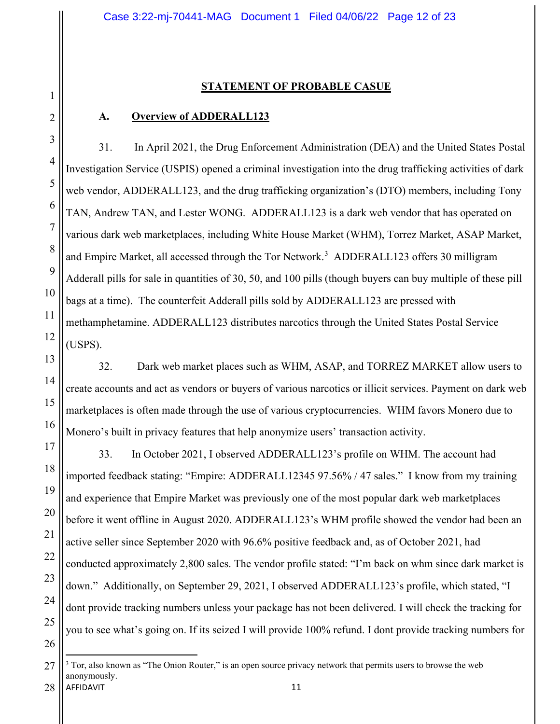#### **STATEMENT OF PROBABLE CASUE**

#### **A. Overview of ADDERALL123**

31. In April 2021, the Drug Enforcement Administration (DEA) and the United States Postal Investigation Service (USPIS) opened a criminal investigation into the drug trafficking activities of dark web vendor, ADDERALL123, and the drug trafficking organization's (DTO) members, including Tony TAN, Andrew TAN, and Lester WONG. ADDERALL123 is a dark web vendor that has operated on various dark web marketplaces, including White House Market (WHM), Torrez Market, ASAP Market, and Empire Market, all accessed through the Tor Network.<sup>3</sup> ADDERALL123 offers 30 milligram Adderall pills for sale in quantities of 30, 50, and 100 pills (though buyers can buy multiple of these pill bags at a time). The counterfeit Adderall pills sold by ADDERALL123 are pressed with methamphetamine. ADDERALL123 distributes narcotics through the United States Postal Service (USPS).

32. Dark web market places such as WHM, ASAP, and TORREZ MARKET allow users to create accounts and act as vendors or buyers of various narcotics or illicit services. Payment on dark web marketplaces is often made through the use of various cryptocurrencies. WHM favors Monero due to Monero's built in privacy features that help anonymize users' transaction activity.

33. In October 2021, I observed ADDERALL123's profile on WHM. The account had imported feedback stating: "Empire: ADDERALL12345 97.56% / 47 sales." I know from my training and experience that Empire Market was previously one of the most popular dark web marketplaces before it went offline in August 2020. ADDERALL123's WHM profile showed the vendor had been an active seller since September 2020 with 96.6% positive feedback and, as of October 2021, had conducted approximately 2,800 sales. The vendor profile stated: "I'm back on whm since dark market is down." Additionally, on September 29, 2021, I observed ADDERALL123's profile, which stated, "I dont provide tracking numbers unless your package has not been delivered. I will check the tracking for you to see what's going on. If its seized I will provide 100% refund. I dont provide tracking numbers for

26

1

2

3

4

5

6

7

8

9

10

11

12

13

14

15

16

17

18

19

20

21

22

23

24

25

AFFIDAVIT 11 27  $3$  Tor, also known as "The Onion Router," is an open source privacy network that permits users to browse the web anonymously.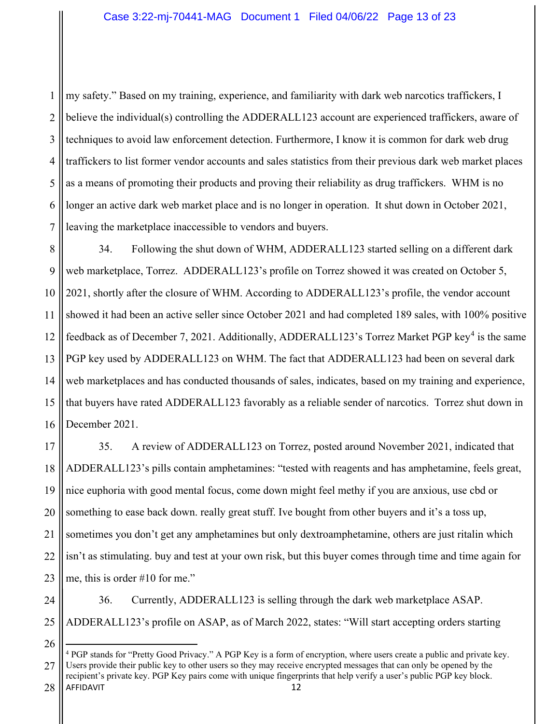1 2 3 4 5 6 7 my safety." Based on my training, experience, and familiarity with dark web narcotics traffickers, I believe the individual(s) controlling the ADDERALL123 account are experienced traffickers, aware of techniques to avoid law enforcement detection. Furthermore, I know it is common for dark web drug traffickers to list former vendor accounts and sales statistics from their previous dark web market places as a means of promoting their products and proving their reliability as drug traffickers. WHM is no longer an active dark web market place and is no longer in operation. It shut down in October 2021, leaving the marketplace inaccessible to vendors and buyers.

8 9 10 11 12 13 14 15 16 34. Following the shut down of WHM, ADDERALL123 started selling on a different dark web marketplace, Torrez. ADDERALL123's profile on Torrez showed it was created on October 5, 2021, shortly after the closure of WHM. According to ADDERALL123's profile, the vendor account showed it had been an active seller since October 2021 and had completed 189 sales, with 100% positive feedback as of December 7, 2021. Additionally, ADDERALL123's Torrez Market PGP key<sup>4</sup> is the same PGP key used by ADDERALL123 on WHM. The fact that ADDERALL123 had been on several dark web marketplaces and has conducted thousands of sales, indicates, based on my training and experience, that buyers have rated ADDERALL123 favorably as a reliable sender of narcotics. Torrez shut down in December 2021.

17 18 19 20 21 22 23 35. A review of ADDERALL123 on Torrez, posted around November 2021, indicated that ADDERALL123's pills contain amphetamines: "tested with reagents and has amphetamine, feels great, nice euphoria with good mental focus, come down might feel methy if you are anxious, use cbd or something to ease back down. really great stuff. Ive bought from other buyers and it's a toss up, sometimes you don't get any amphetamines but only dextroamphetamine, others are just ritalin which isn't as stimulating. buy and test at your own risk, but this buyer comes through time and time again for me, this is order #10 for me."

24

36. Currently, ADDERALL123 is selling through the dark web marketplace ASAP. ADDERALL123's profile on ASAP, as of March 2022, states: "Will start accepting orders starting

<sup>26</sup>

AFFIDAVIT 12 27 28 <sup>4</sup> PGP stands for "Pretty Good Privacy." A PGP Key is a form of encryption, where users create a public and private key. Users provide their public key to other users so they may receive encrypted messages that can only be opened by the recipient's private key. PGP Key pairs come with unique fingerprints that help verify a user's public PGP key block.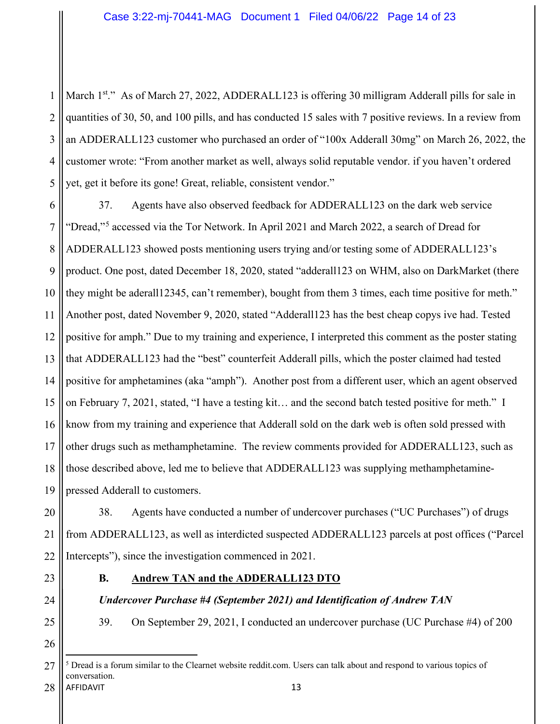1 2 3 4 5 March 1<sup>st</sup>." As of March 27, 2022, ADDERALL123 is offering 30 milligram Adderall pills for sale in quantities of 30, 50, and 100 pills, and has conducted 15 sales with 7 positive reviews. In a review from an ADDERALL123 customer who purchased an order of "100x Adderall 30mg" on March 26, 2022, the customer wrote: "From another market as well, always solid reputable vendor. if you haven't ordered yet, get it before its gone! Great, reliable, consistent vendor."

6 7 8 9 10 11 12 13 14 15 16 17 18 19 37. Agents have also observed feedback for ADDERALL123 on the dark web service "Dread,"<sup>5</sup> accessed via the Tor Network. In April 2021 and March 2022, a search of Dread for ADDERALL123 showed posts mentioning users trying and/or testing some of ADDERALL123's product. One post, dated December 18, 2020, stated "adderall123 on WHM, also on DarkMarket (there they might be aderall12345, can't remember), bought from them 3 times, each time positive for meth." Another post, dated November 9, 2020, stated "Adderall123 has the best cheap copys ive had. Tested positive for amph." Due to my training and experience, I interpreted this comment as the poster stating that ADDERALL123 had the "best" counterfeit Adderall pills, which the poster claimed had tested positive for amphetamines (aka "amph"). Another post from a different user, which an agent observed on February 7, 2021, stated, "I have a testing kit… and the second batch tested positive for meth." I know from my training and experience that Adderall sold on the dark web is often sold pressed with other drugs such as methamphetamine. The review comments provided for ADDERALL123, such as those described above, led me to believe that ADDERALL123 was supplying methamphetaminepressed Adderall to customers.

20 21 22 38. Agents have conducted a number of undercover purchases ("UC Purchases") of drugs from ADDERALL123, as well as interdicted suspected ADDERALL123 parcels at post offices ("Parcel Intercepts"), since the investigation commenced in 2021.

- 23
- 
- 24

25

26

**B. Andrew TAN and the ADDERALL123 DTO**

# *Undercover Purchase #4 (September 2021) and Identification of Andrew TAN*

39. On September 29, 2021, I conducted an undercover purchase (UC Purchase #4) of 200

AFFIDAVIT 13 27  $<sup>5</sup>$  Dread is a forum similar to the Clearnet website reddit.com. Users can talk about and respond to various topics of</sup> conversation.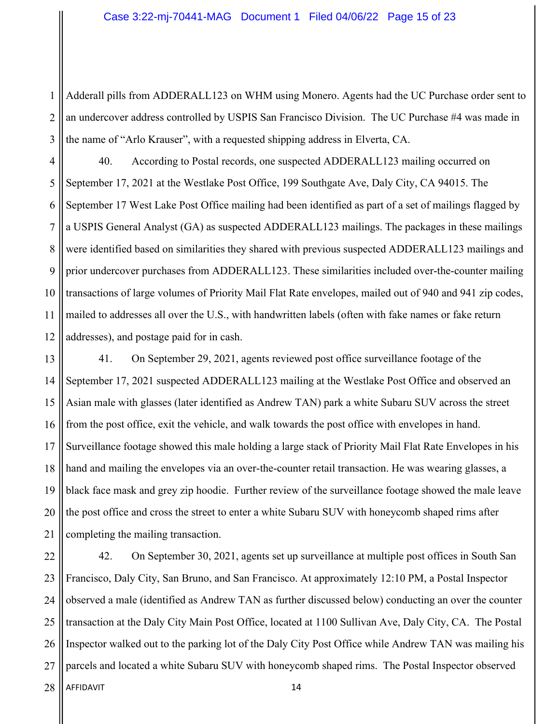1 2 3 Adderall pills from ADDERALL123 on WHM using Monero. Agents had the UC Purchase order sent to an undercover address controlled by USPIS San Francisco Division. The UC Purchase #4 was made in the name of "Arlo Krauser", with a requested shipping address in Elverta, CA.

4 5 6 7 8 9 10 11 12 40. According to Postal records, one suspected ADDERALL123 mailing occurred on September 17, 2021 at the Westlake Post Office, 199 Southgate Ave, Daly City, CA 94015. The September 17 West Lake Post Office mailing had been identified as part of a set of mailings flagged by a USPIS General Analyst (GA) as suspected ADDERALL123 mailings. The packages in these mailings were identified based on similarities they shared with previous suspected ADDERALL123 mailings and prior undercover purchases from ADDERALL123. These similarities included over-the-counter mailing transactions of large volumes of Priority Mail Flat Rate envelopes, mailed out of 940 and 941 zip codes, mailed to addresses all over the U.S., with handwritten labels (often with fake names or fake return addresses), and postage paid for in cash.

13 14 15 16 17 18 19 20 21 41. On September 29, 2021, agents reviewed post office surveillance footage of the September 17, 2021 suspected ADDERALL123 mailing at the Westlake Post Office and observed an Asian male with glasses (later identified as Andrew TAN) park a white Subaru SUV across the street from the post office, exit the vehicle, and walk towards the post office with envelopes in hand. Surveillance footage showed this male holding a large stack of Priority Mail Flat Rate Envelopes in his hand and mailing the envelopes via an over-the-counter retail transaction. He was wearing glasses, a black face mask and grey zip hoodie. Further review of the surveillance footage showed the male leave the post office and cross the street to enter a white Subaru SUV with honeycomb shaped rims after completing the mailing transaction.

AFFIDAVIT 14 22 23 24 25 26 27 28 42. On September 30, 2021, agents set up surveillance at multiple post offices in South San Francisco, Daly City, San Bruno, and San Francisco. At approximately 12:10 PM, a Postal Inspector observed a male (identified as Andrew TAN as further discussed below) conducting an over the counter transaction at the Daly City Main Post Office, located at 1100 Sullivan Ave, Daly City, CA. The Postal Inspector walked out to the parking lot of the Daly City Post Office while Andrew TAN was mailing his parcels and located a white Subaru SUV with honeycomb shaped rims. The Postal Inspector observed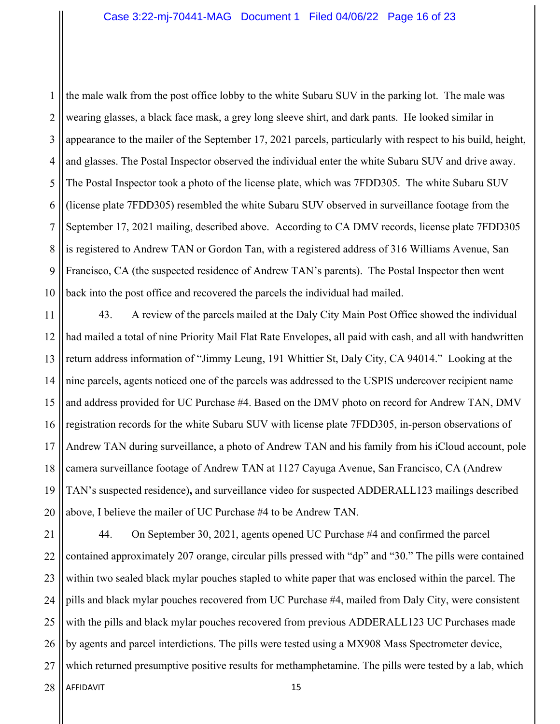1 2 3 4 5 6 7 8 9 10 the male walk from the post office lobby to the white Subaru SUV in the parking lot. The male was wearing glasses, a black face mask, a grey long sleeve shirt, and dark pants. He looked similar in appearance to the mailer of the September 17, 2021 parcels, particularly with respect to his build, height, and glasses. The Postal Inspector observed the individual enter the white Subaru SUV and drive away. The Postal Inspector took a photo of the license plate, which was 7FDD305. The white Subaru SUV (license plate 7FDD305) resembled the white Subaru SUV observed in surveillance footage from the September 17, 2021 mailing, described above. According to CA DMV records, license plate 7FDD305 is registered to Andrew TAN or Gordon Tan, with a registered address of 316 Williams Avenue, San Francisco, CA (the suspected residence of Andrew TAN's parents). The Postal Inspector then went back into the post office and recovered the parcels the individual had mailed.

11 12 13 14 15 16 17 18 19 20 43. A review of the parcels mailed at the Daly City Main Post Office showed the individual had mailed a total of nine Priority Mail Flat Rate Envelopes, all paid with cash, and all with handwritten return address information of "Jimmy Leung, 191 Whittier St, Daly City, CA 94014." Looking at the nine parcels, agents noticed one of the parcels was addressed to the USPIS undercover recipient name and address provided for UC Purchase #4. Based on the DMV photo on record for Andrew TAN, DMV registration records for the white Subaru SUV with license plate 7FDD305, in-person observations of Andrew TAN during surveillance, a photo of Andrew TAN and his family from his iCloud account, pole camera surveillance footage of Andrew TAN at 1127 Cayuga Avenue, San Francisco, CA (Andrew TAN's suspected residence)**,** and surveillance video for suspected ADDERALL123 mailings described above, I believe the mailer of UC Purchase #4 to be Andrew TAN.

AFFIDAVIT 15 21 22 23 24 25 26 27 28 44. On September 30, 2021, agents opened UC Purchase #4 and confirmed the parcel contained approximately 207 orange, circular pills pressed with "dp" and "30." The pills were contained within two sealed black mylar pouches stapled to white paper that was enclosed within the parcel. The pills and black mylar pouches recovered from UC Purchase #4, mailed from Daly City, were consistent with the pills and black mylar pouches recovered from previous ADDERALL123 UC Purchases made by agents and parcel interdictions. The pills were tested using a MX908 Mass Spectrometer device, which returned presumptive positive results for methamphetamine. The pills were tested by a lab, which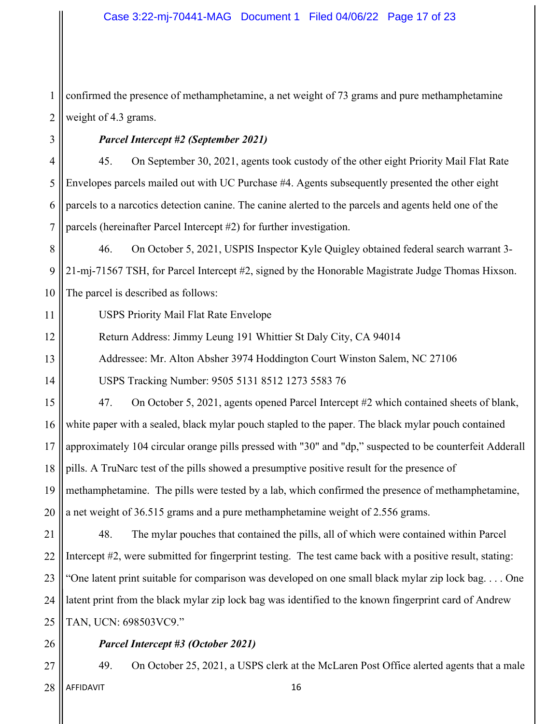1 2 confirmed the presence of methamphetamine, a net weight of 73 grams and pure methamphetamine weight of 4.3 grams.

#### *Parcel Intercept #2 (September 2021)*

4 5 6 7 45. On September 30, 2021, agents took custody of the other eight Priority Mail Flat Rate Envelopes parcels mailed out with UC Purchase #4. Agents subsequently presented the other eight parcels to a narcotics detection canine. The canine alerted to the parcels and agents held one of the parcels (hereinafter Parcel Intercept #2) for further investigation.

8 9 10 46. On October 5, 2021, USPIS Inspector Kyle Quigley obtained federal search warrant 3- 21-mj-71567 TSH, for Parcel Intercept #2, signed by the Honorable Magistrate Judge Thomas Hixson. The parcel is described as follows:

11 USPS Priority Mail Flat Rate Envelope

12 Return Address: Jimmy Leung 191 Whittier St Daly City, CA 94014

Addressee: Mr. Alton Absher 3974 Hoddington Court Winston Salem, NC 27106

USPS Tracking Number: 9505 5131 8512 1273 5583 76

15 16 17 18 19 20 47. On October 5, 2021, agents opened Parcel Intercept #2 which contained sheets of blank, white paper with a sealed, black mylar pouch stapled to the paper. The black mylar pouch contained approximately 104 circular orange pills pressed with "30" and "dp," suspected to be counterfeit Adderall pills. A TruNarc test of the pills showed a presumptive positive result for the presence of methamphetamine. The pills were tested by a lab, which confirmed the presence of methamphetamine, a net weight of 36.515 grams and a pure methamphetamine weight of 2.556 grams.

21 22 23 24 25 48. The mylar pouches that contained the pills, all of which were contained within Parcel Intercept #2, were submitted for fingerprint testing. The test came back with a positive result, stating: "One latent print suitable for comparison was developed on one small black mylar zip lock bag. . . . One latent print from the black mylar zip lock bag was identified to the known fingerprint card of Andrew TAN, UCN: 698503VC9."

26

3

13

14

#### *Parcel Intercept #3 (October 2021)*

AFFIDAVIT 16 27 28 49. On October 25, 2021, a USPS clerk at the McLaren Post Office alerted agents that a male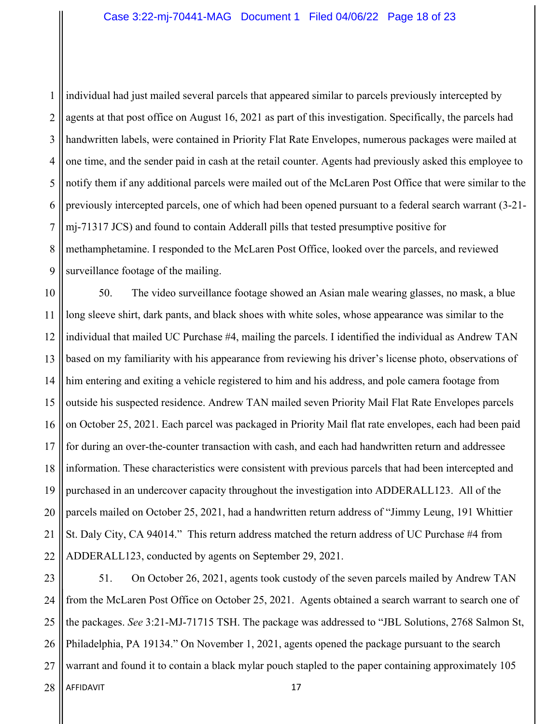1 2 3 4 5 6 7 8 9 individual had just mailed several parcels that appeared similar to parcels previously intercepted by agents at that post office on August 16, 2021 as part of this investigation. Specifically, the parcels had handwritten labels, were contained in Priority Flat Rate Envelopes, numerous packages were mailed at one time, and the sender paid in cash at the retail counter. Agents had previously asked this employee to notify them if any additional parcels were mailed out of the McLaren Post Office that were similar to the previously intercepted parcels, one of which had been opened pursuant to a federal search warrant (3-21 mj-71317 JCS) and found to contain Adderall pills that tested presumptive positive for methamphetamine. I responded to the McLaren Post Office, looked over the parcels, and reviewed surveillance footage of the mailing.

10 11 12 13 14 15 16 17 18 19 20 21 22 50. The video surveillance footage showed an Asian male wearing glasses, no mask, a blue long sleeve shirt, dark pants, and black shoes with white soles, whose appearance was similar to the individual that mailed UC Purchase #4, mailing the parcels. I identified the individual as Andrew TAN based on my familiarity with his appearance from reviewing his driver's license photo, observations of him entering and exiting a vehicle registered to him and his address, and pole camera footage from outside his suspected residence. Andrew TAN mailed seven Priority Mail Flat Rate Envelopes parcels on October 25, 2021. Each parcel was packaged in Priority Mail flat rate envelopes, each had been paid for during an over-the-counter transaction with cash, and each had handwritten return and addressee information. These characteristics were consistent with previous parcels that had been intercepted and purchased in an undercover capacity throughout the investigation into ADDERALL123. All of the parcels mailed on October 25, 2021, had a handwritten return address of "Jimmy Leung, 191 Whittier St. Daly City, CA 94014." This return address matched the return address of UC Purchase #4 from ADDERALL123, conducted by agents on September 29, 2021.

AFFIDAVIT 17 23 24 25 26 27 28 51. On October 26, 2021, agents took custody of the seven parcels mailed by Andrew TAN from the McLaren Post Office on October 25, 2021. Agents obtained a search warrant to search one of the packages. *See* 3:21-MJ-71715 TSH. The package was addressed to "JBL Solutions, 2768 Salmon St, Philadelphia, PA 19134." On November 1, 2021, agents opened the package pursuant to the search warrant and found it to contain a black mylar pouch stapled to the paper containing approximately 105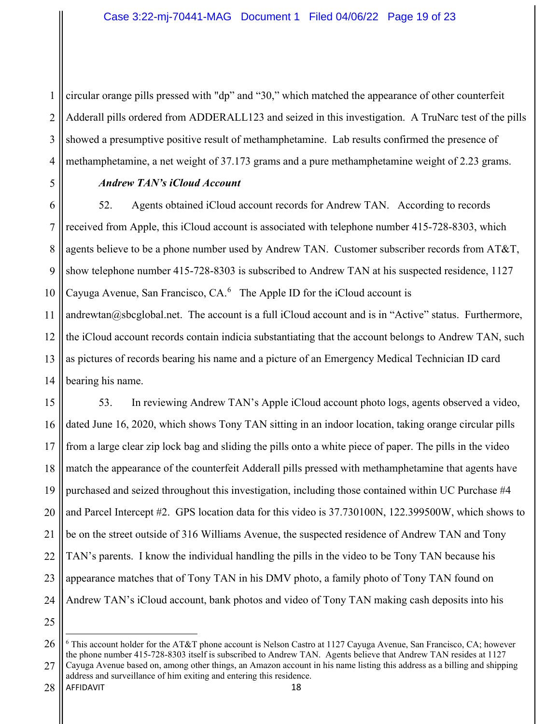1 2 3 4 circular orange pills pressed with "dp" and "30," which matched the appearance of other counterfeit Adderall pills ordered from ADDERALL123 and seized in this investigation. A TruNarc test of the pills showed a presumptive positive result of methamphetamine. Lab results confirmed the presence of methamphetamine, a net weight of 37.173 grams and a pure methamphetamine weight of 2.23 grams.

5

# *Andrew TAN's iCloud Account*

6 7 8 9 10 11 12 13 14 52. Agents obtained iCloud account records for Andrew TAN. According to records received from Apple, this iCloud account is associated with telephone number 415-728-8303, which agents believe to be a phone number used by Andrew TAN. Customer subscriber records from AT&T, show telephone number 415-728-8303 is subscribed to Andrew TAN at his suspected residence, 1127 Cayuga Avenue, San Francisco,  $CA<sup>6</sup>$  The Apple ID for the iCloud account is andrewtan@sbcglobal.net. The account is a full iCloud account and is in "Active" status. Furthermore, the iCloud account records contain indicia substantiating that the account belongs to Andrew TAN, such as pictures of records bearing his name and a picture of an Emergency Medical Technician ID card bearing his name.

15 16 17 18 19 20 21 22 23 24 53. In reviewing Andrew TAN's Apple iCloud account photo logs, agents observed a video, dated June 16, 2020, which shows Tony TAN sitting in an indoor location, taking orange circular pills from a large clear zip lock bag and sliding the pills onto a white piece of paper. The pills in the video match the appearance of the counterfeit Adderall pills pressed with methamphetamine that agents have purchased and seized throughout this investigation, including those contained within UC Purchase #4 and Parcel Intercept #2. GPS location data for this video is 37.730100N, 122.399500W, which shows to be on the street outside of 316 Williams Avenue, the suspected residence of Andrew TAN and Tony TAN's parents. I know the individual handling the pills in the video to be Tony TAN because his appearance matches that of Tony TAN in his DMV photo, a family photo of Tony TAN found on Andrew TAN's iCloud account, bank photos and video of Tony TAN making cash deposits into his

<sup>26</sup> 27 <sup>6</sup> This account holder for the AT&T phone account is Nelson Castro at 1127 Cayuga Avenue, San Francisco, CA; however the phone number 415-728-8303 itself is subscribed to Andrew TAN. Agents believe that Andrew TAN resides at 1127 Cayuga Avenue based on, among other things, an Amazon account in his name listing this address as a billing and shipping

AFFIDAVIT 18 address and surveillance of him exiting and entering this residence.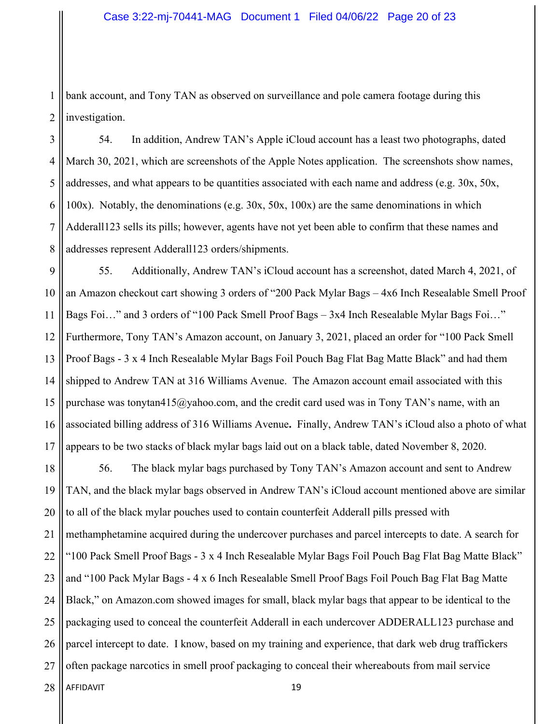1 2 bank account, and Tony TAN as observed on surveillance and pole camera footage during this investigation.

3 4 5 6 7 8 54. In addition, Andrew TAN's Apple iCloud account has a least two photographs, dated March 30, 2021, which are screenshots of the Apple Notes application. The screenshots show names, addresses, and what appears to be quantities associated with each name and address (e.g.  $30x$ ,  $50x$ , 100x). Notably, the denominations (e.g. 30x, 50x, 100x) are the same denominations in which Adderall123 sells its pills; however, agents have not yet been able to confirm that these names and addresses represent Adderall123 orders/shipments.

9 10 11 12 13 14 15 16 17 55. Additionally, Andrew TAN's iCloud account has a screenshot, dated March 4, 2021, of an Amazon checkout cart showing 3 orders of "200 Pack Mylar Bags – 4x6 Inch Resealable Smell Proof Bags Foi…" and 3 orders of "100 Pack Smell Proof Bags – 3x4 Inch Resealable Mylar Bags Foi…" Furthermore, Tony TAN's Amazon account, on January 3, 2021, placed an order for "100 Pack Smell Proof Bags - 3 x 4 Inch Resealable Mylar Bags Foil Pouch Bag Flat Bag Matte Black" and had them shipped to Andrew TAN at 316 Williams Avenue. The Amazon account email associated with this purchase was tonytan415@yahoo.com, and the credit card used was in Tony TAN's name, with an associated billing address of 316 Williams Avenue**.** Finally, Andrew TAN's iCloud also a photo of what appears to be two stacks of black mylar bags laid out on a black table, dated November 8, 2020.

18 19 20 21 22 23 24 25 26 27 56. The black mylar bags purchased by Tony TAN's Amazon account and sent to Andrew TAN, and the black mylar bags observed in Andrew TAN's iCloud account mentioned above are similar to all of the black mylar pouches used to contain counterfeit Adderall pills pressed with methamphetamine acquired during the undercover purchases and parcel intercepts to date. A search for "100 Pack Smell Proof Bags - 3 x 4 Inch Resealable Mylar Bags Foil Pouch Bag Flat Bag Matte Black" and "100 Pack Mylar Bags - 4 x 6 Inch Resealable Smell Proof Bags Foil Pouch Bag Flat Bag Matte Black," on Amazon.com showed images for small, black mylar bags that appear to be identical to the packaging used to conceal the counterfeit Adderall in each undercover ADDERALL123 purchase and parcel intercept to date. I know, based on my training and experience, that dark web drug traffickers often package narcotics in smell proof packaging to conceal their whereabouts from mail service

AFFIDAVIT 19 28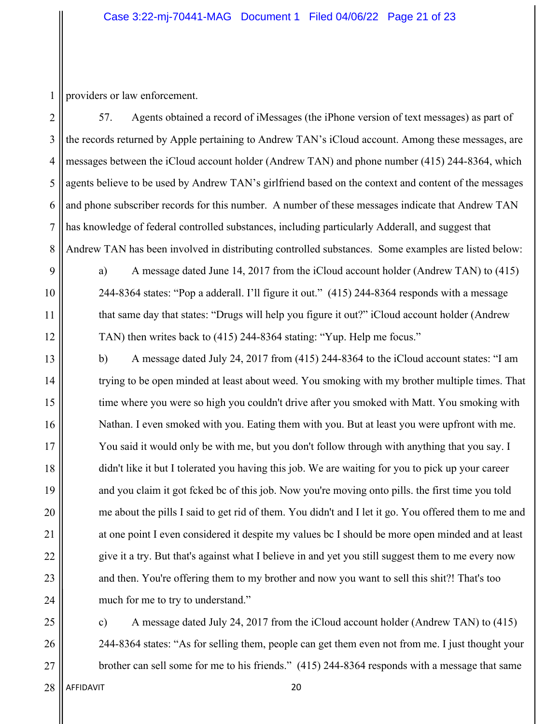1 providers or law enforcement.

2 3 4 5 6 7 8 57. Agents obtained a record of iMessages (the iPhone version of text messages) as part of the records returned by Apple pertaining to Andrew TAN's iCloud account. Among these messages, are messages between the iCloud account holder (Andrew TAN) and phone number (415) 244-8364, which agents believe to be used by Andrew TAN's girlfriend based on the context and content of the messages and phone subscriber records for this number. A number of these messages indicate that Andrew TAN has knowledge of federal controlled substances, including particularly Adderall, and suggest that Andrew TAN has been involved in distributing controlled substances. Some examples are listed below:

a) A message dated June 14, 2017 from the iCloud account holder (Andrew TAN) to (415) 244-8364 states: "Pop a adderall. I'll figure it out." (415) 244-8364 responds with a message that same day that states: "Drugs will help you figure it out?" iCloud account holder (Andrew TAN) then writes back to (415) 244-8364 stating: "Yup. Help me focus."

b) A message dated July 24, 2017 from (415) 244-8364 to the iCloud account states: "I am trying to be open minded at least about weed. You smoking with my brother multiple times. That time where you were so high you couldn't drive after you smoked with Matt. You smoking with Nathan. I even smoked with you. Eating them with you. But at least you were upfront with me. You said it would only be with me, but you don't follow through with anything that you say. I didn't like it but I tolerated you having this job. We are waiting for you to pick up your career and you claim it got fcked bc of this job. Now you're moving onto pills. the first time you told me about the pills I said to get rid of them. You didn't and I let it go. You offered them to me and at one point I even considered it despite my values bc I should be more open minded and at least give it a try. But that's against what I believe in and yet you still suggest them to me every now and then. You're offering them to my brother and now you want to sell this shit?! That's too much for me to try to understand."

c) A message dated July 24, 2017 from the iCloud account holder (Andrew TAN) to (415) 244-8364 states: "As for selling them, people can get them even not from me. I just thought your brother can sell some for me to his friends." (415) 244-8364 responds with a message that same

9

10

11

12

13

14

15

16

17

18

19

20

21

22

23

24

25

26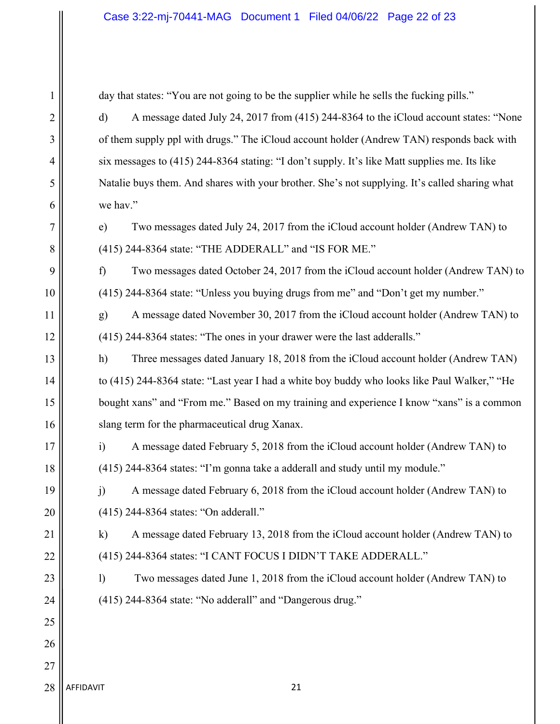#### Case 3:22-mj-70441-MAG Document 1 Filed 04/06/22 Page 22 of 23

day that states: "You are not going to be the supplier while he sells the fucking pills."

d) A message dated July 24, 2017 from (415) 244-8364 to the iCloud account states: "None of them supply ppl with drugs." The iCloud account holder (Andrew TAN) responds back with six messages to (415) 244-8364 stating: "I don't supply. It's like Matt supplies me. Its like Natalie buys them. And shares with your brother. She's not supplying. It's called sharing what we hav."

e) Two messages dated July 24, 2017 from the iCloud account holder (Andrew TAN) to (415) 244-8364 state: "THE ADDERALL" and "IS FOR ME."

f) Two messages dated October 24, 2017 from the iCloud account holder (Andrew TAN) to (415) 244-8364 state: "Unless you buying drugs from me" and "Don't get my number."

g) A message dated November 30, 2017 from the iCloud account holder (Andrew TAN) to (415) 244-8364 states: "The ones in your drawer were the last adderalls."

h) Three messages dated January 18, 2018 from the iCloud account holder (Andrew TAN) to (415) 244-8364 state: "Last year I had a white boy buddy who looks like Paul Walker," "He bought xans" and "From me." Based on my training and experience I know "xans" is a common slang term for the pharmaceutical drug Xanax.

i) A message dated February 5, 2018 from the iCloud account holder (Andrew TAN) to (415) 244-8364 states: "I'm gonna take a adderall and study until my module."

j) A message dated February 6, 2018 from the iCloud account holder (Andrew TAN) to (415) 244-8364 states: "On adderall."

k) A message dated February 13, 2018 from the iCloud account holder (Andrew TAN) to (415) 244-8364 states: "I CANT FOCUS I DIDN'T TAKE ADDERALL."

l) Two messages dated June 1, 2018 from the iCloud account holder (Andrew TAN) to (415) 244-8364 state: "No adderall" and "Dangerous drug."

1

2

3

AFFIDAVIT 21 28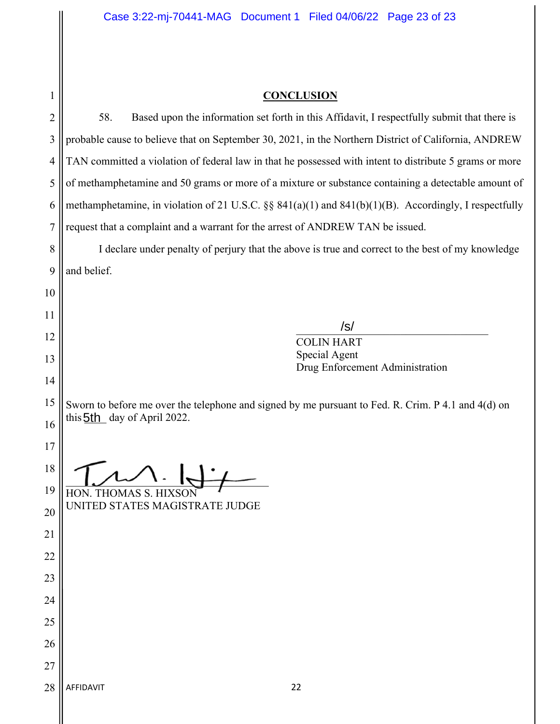| <b>CONCLUSION</b> |
|-------------------|
|-------------------|

| $\mathbf{1}$   | <b>CONCLUSION</b>                                                                                       |  |  |  |  |
|----------------|---------------------------------------------------------------------------------------------------------|--|--|--|--|
| $\overline{c}$ | 58.<br>Based upon the information set forth in this Affidavit, I respectfully submit that there is      |  |  |  |  |
| 3              | probable cause to believe that on September 30, 2021, in the Northern District of California, ANDREW    |  |  |  |  |
| 4              | TAN committed a violation of federal law in that he possessed with intent to distribute 5 grams or more |  |  |  |  |
| 5              | of methamphetamine and 50 grams or more of a mixture or substance containing a detectable amount of     |  |  |  |  |
| 6              | methamphetamine, in violation of 21 U.S.C. §§ 841(a)(1) and 841(b)(1)(B). Accordingly, I respectfully   |  |  |  |  |
| $\overline{7}$ | request that a complaint and a warrant for the arrest of ANDREW TAN be issued.                          |  |  |  |  |
| 8              | I declare under penalty of perjury that the above is true and correct to the best of my knowledge       |  |  |  |  |
| 9              | and belief.                                                                                             |  |  |  |  |
| 10             |                                                                                                         |  |  |  |  |
| 11             |                                                                                                         |  |  |  |  |
| 12             | /s/<br><b>COLIN HART</b>                                                                                |  |  |  |  |
| 13             | Special Agent<br>Drug Enforcement Administration                                                        |  |  |  |  |
| 14             |                                                                                                         |  |  |  |  |
| 15             | Sworn to before me over the telephone and signed by me pursuant to Fed. R. Crim. P 4.1 and 4(d) on      |  |  |  |  |
| 16             | this 5th day of April 2022.                                                                             |  |  |  |  |
| 17             |                                                                                                         |  |  |  |  |
| 18             |                                                                                                         |  |  |  |  |
| 19             | HON. THOMAS S. HIXSON                                                                                   |  |  |  |  |
| 20             | UNITED STATES MAGISTRATE JUDGE                                                                          |  |  |  |  |
| 21             |                                                                                                         |  |  |  |  |
| 22             |                                                                                                         |  |  |  |  |
| 23             |                                                                                                         |  |  |  |  |
| 24             |                                                                                                         |  |  |  |  |
| 25             |                                                                                                         |  |  |  |  |
| 26             |                                                                                                         |  |  |  |  |
| 27             |                                                                                                         |  |  |  |  |
| 28             | AFFIDAVIT<br>22                                                                                         |  |  |  |  |